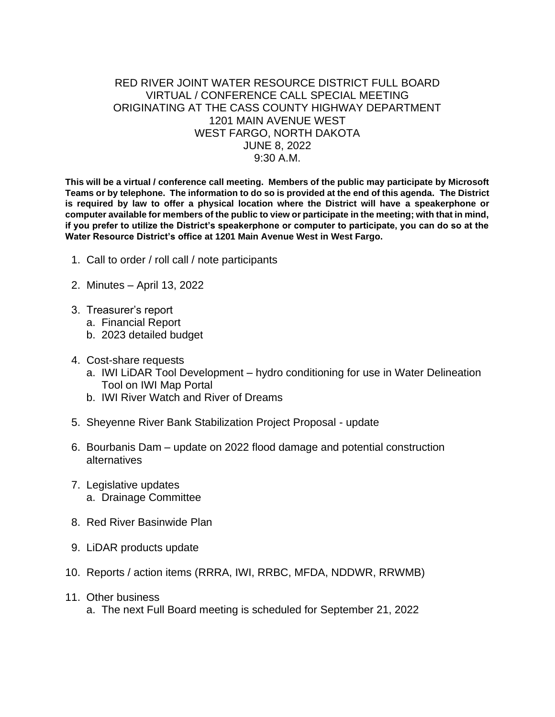## RED RIVER JOINT WATER RESOURCE DISTRICT FULL BOARD VIRTUAL / CONFERENCE CALL SPECIAL MEETING ORIGINATING AT THE CASS COUNTY HIGHWAY DEPARTMENT 1201 MAIN AVENUE WEST WEST FARGO, NORTH DAKOTA JUNE 8, 2022 9:30 A.M.

**This will be a virtual / conference call meeting. Members of the public may participate by Microsoft Teams or by telephone. The information to do so is provided at the end of this agenda. The District is required by law to offer a physical location where the District will have a speakerphone or computer available for members of the public to view or participate in the meeting; with that in mind, if you prefer to utilize the District's speakerphone or computer to participate, you can do so at the Water Resource District's office at 1201 Main Avenue West in West Fargo.**

- 1. Call to order / roll call / note participants
- 2. Minutes April 13, 2022
- 3. Treasurer's report
	- a. Financial Report
	- b. 2023 detailed budget
- 4. Cost-share requests
	- a. IWI LiDAR Tool Development hydro conditioning for use in Water Delineation Tool on IWI Map Portal
	- b. IWI River Watch and River of Dreams
- 5. Sheyenne River Bank Stabilization Project Proposal update
- 6. Bourbanis Dam update on 2022 flood damage and potential construction alternatives
- 7. Legislative updates a. Drainage Committee
- 8. Red River Basinwide Plan
- 9. LiDAR products update
- 10. Reports / action items (RRRA, IWI, RRBC, MFDA, NDDWR, RRWMB)
- 11. Other business
	- a. The next Full Board meeting is scheduled for September 21, 2022